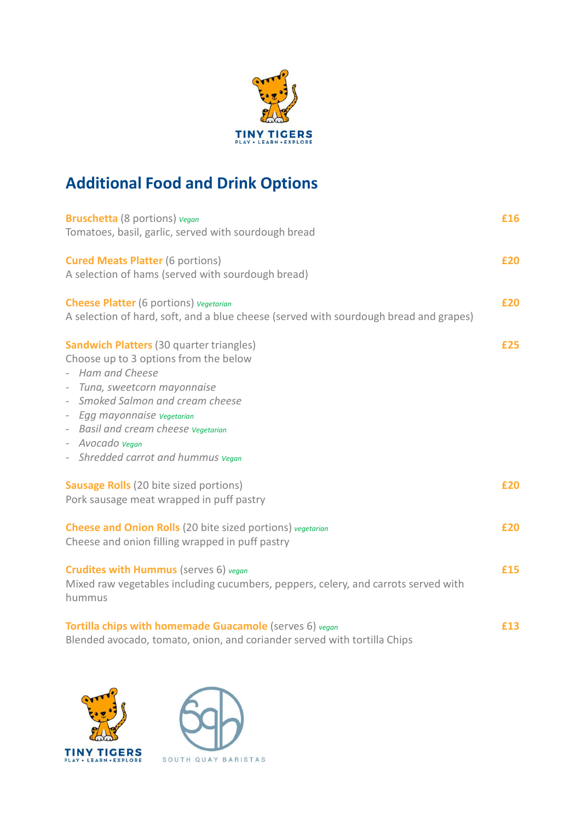

## Additional Food and Drink Options

| <b>Additional Food and Drink Options</b>                                                                                                                                                                                                                                                                        |     |
|-----------------------------------------------------------------------------------------------------------------------------------------------------------------------------------------------------------------------------------------------------------------------------------------------------------------|-----|
| <b>Bruschetta</b> (8 portions) vegan<br>Tomatoes, basil, garlic, served with sourdough bread                                                                                                                                                                                                                    | £16 |
| <b>Cured Meats Platter (6 portions)</b><br>A selection of hams (served with sourdough bread)                                                                                                                                                                                                                    | £20 |
| <b>Cheese Platter</b> (6 portions) <i>Vegetarian</i><br>A selection of hard, soft, and a blue cheese (served with sourdough bread and grapes)                                                                                                                                                                   | £20 |
| <b>Sandwich Platters (30 quarter triangles)</b><br>Choose up to 3 options from the below<br>- Ham and Cheese<br>- Tuna, sweetcorn mayonnaise<br>- Smoked Salmon and cream cheese<br>- Egg mayonnaise vegetarian<br>- Basil and cream cheese vegetarian<br>- Avocado vegan<br>- Shredded carrot and hummus vegan | £25 |
| <b>Sausage Rolls</b> (20 bite sized portions)<br>Pork sausage meat wrapped in puff pastry                                                                                                                                                                                                                       | £20 |
| <b>Cheese and Onion Rolls</b> (20 bite sized portions) vegetarian<br>Cheese and onion filling wrapped in puff pastry                                                                                                                                                                                            | £20 |
| <b>Crudites with Hummus</b> (serves 6) vegan<br>Mixed raw vegetables including cucumbers, peppers, celery, and carrots served with<br>hummus                                                                                                                                                                    | £15 |
| Tortilla chips with homemade Guacamole (serves 6) vegan<br>Blended avocado, tomato, onion, and coriander served with tortilla Chips                                                                                                                                                                             | £13 |



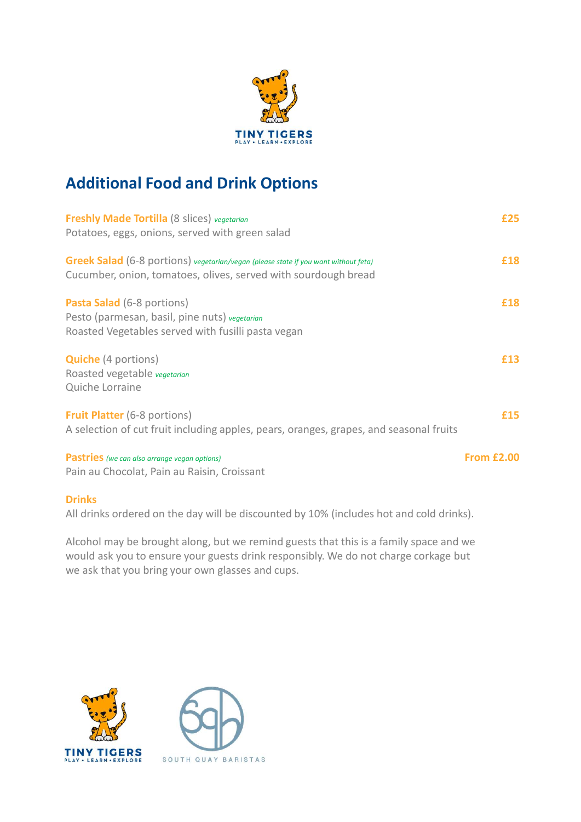

## Additional Food and Drink Options

| <b>Freshly Made Tortilla</b> (8 slices) vegetarian                                                                                                           | £25               |  |
|--------------------------------------------------------------------------------------------------------------------------------------------------------------|-------------------|--|
| Potatoes, eggs, onions, served with green salad                                                                                                              |                   |  |
| <b>Greek Salad</b> (6-8 portions) vegetarian/vegan (please state if you want without feta)<br>Cucumber, onion, tomatoes, olives, served with sourdough bread | £18               |  |
| <b>Pasta Salad</b> (6-8 portions)                                                                                                                            | £18               |  |
| Pesto (parmesan, basil, pine nuts) vegetarian                                                                                                                |                   |  |
| Roasted Vegetables served with fusilli pasta vegan                                                                                                           |                   |  |
| <b>Quiche</b> (4 portions)                                                                                                                                   | £13               |  |
| Roasted vegetable vegetarian                                                                                                                                 |                   |  |
| Quiche Lorraine                                                                                                                                              |                   |  |
| <b>Fruit Platter</b> (6-8 portions)                                                                                                                          | £15               |  |
| A selection of cut fruit including apples, pears, oranges, grapes, and seasonal fruits                                                                       |                   |  |
| <b>Pastries</b> (we can also arrange vegan options)                                                                                                          | <b>From £2.00</b> |  |
| Pain au Chocolat, Pain au Raisin, Croissant                                                                                                                  |                   |  |
| <b>Drinks</b>                                                                                                                                                |                   |  |

All drinks ordered on the day will be discounted by 10% (includes hot and cold drinks).

Alcohol may be brought along, but we remind guests that this is a family space and we would ask you to ensure your guests drink responsibly. We do not charge corkage but we ask that you bring your own glasses and cups.



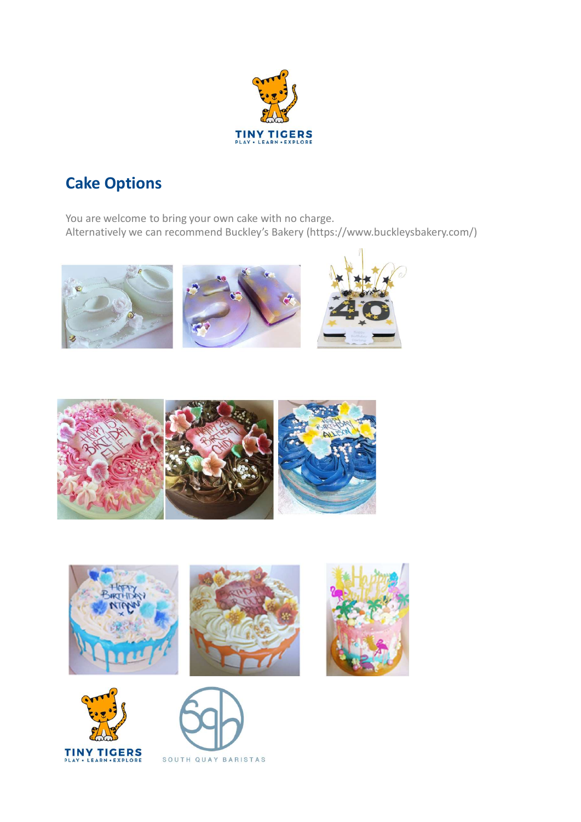

## Cake Options

You are welcome to bring your own cake with no charge. Alternatively we can recommend Buckley's Bakery (https://www.buckleysbakery.com/)